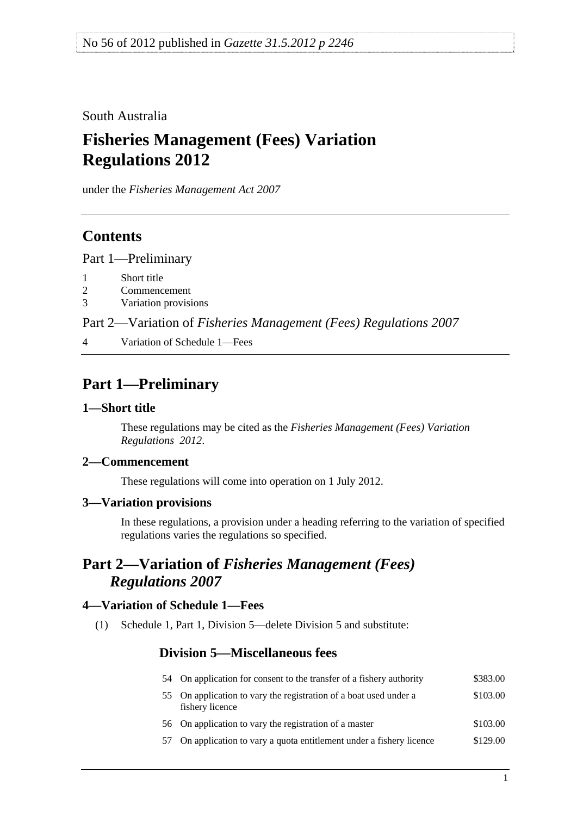### <span id="page-0-0"></span>South Australia

# **Fisheries Management (Fees) Variation Regulations 2012**

under the *Fisheries Management Act 2007*

## **Contents**

[Part 1—Preliminary](#page-0-0)

- [1 Short title](#page-0-0)
- [2 Commencement](#page-0-0)
- [3 Variation provisions](#page-0-0)

Part 2—Variation of *[Fisheries Management \(Fees\) Regulations 2007](#page-0-0)*

[4 Variation of Schedule 1—Fees](#page-0-0) 

## **Part 1—Preliminary**

### **1—Short title**

These regulations may be cited as the *Fisheries Management (Fees) Variation Regulations 2012*.

### **2—Commencement**

These regulations will come into operation on 1 July 2012.

### **3—Variation provisions**

In these regulations, a provision under a heading referring to the variation of specified regulations varies the regulations so specified.

# **Part 2—Variation of** *Fisheries Management (Fees) Regulations 2007*

#### **4—Variation of Schedule 1—Fees**

(1) Schedule 1, Part 1, Division 5—delete Division 5 and substitute:

## **Division 5—Miscellaneous fees**

| 54 On application for consent to the transfer of a fishery authority                 | \$383.00 |
|--------------------------------------------------------------------------------------|----------|
| 55 On application to vary the registration of a boat used under a<br>fishery licence | \$103.00 |
| 56 On application to vary the registration of a master                               | \$103.00 |

57 On application to vary a quota entitlement under a fishery licence \$129.00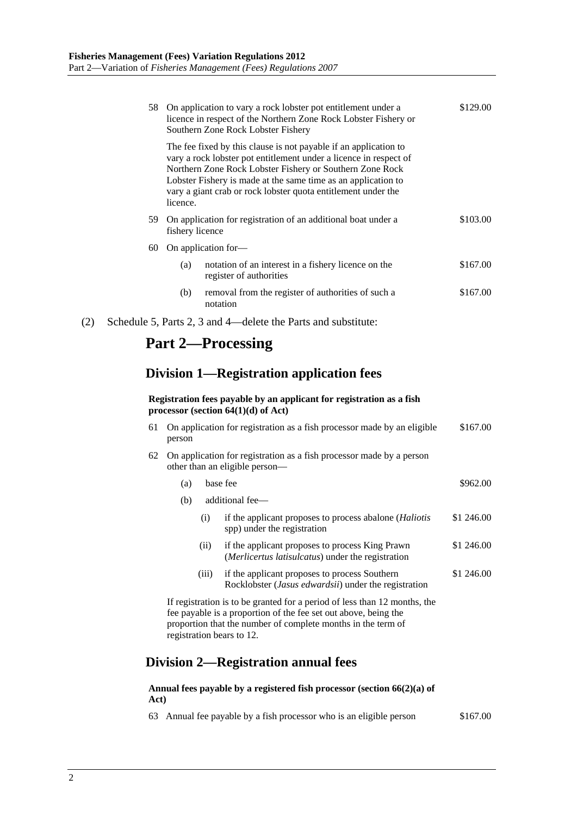|     |    |                 | 58 On application to vary a rock lobster pot entitlement under a<br>licence in respect of the Northern Zone Rock Lobster Fishery or<br>Southern Zone Rock Lobster Fishery                                                                                                                                                           | \$129.00 |
|-----|----|-----------------|-------------------------------------------------------------------------------------------------------------------------------------------------------------------------------------------------------------------------------------------------------------------------------------------------------------------------------------|----------|
|     |    | licence.        | The fee fixed by this clause is not payable if an application to<br>vary a rock lobster pot entitlement under a licence in respect of<br>Northern Zone Rock Lobster Fishery or Southern Zone Rock<br>Lobster Fishery is made at the same time as an application to<br>vary a giant crab or rock lobster quota entitlement under the |          |
|     | 59 | fishery licence | On application for registration of an additional boat under a                                                                                                                                                                                                                                                                       | \$103.00 |
|     | 60 |                 | On application for-                                                                                                                                                                                                                                                                                                                 |          |
|     |    | (a)             | notation of an interest in a fishery licence on the<br>register of authorities                                                                                                                                                                                                                                                      | \$167.00 |
|     |    | (b)             | removal from the register of authorities of such a<br>notation                                                                                                                                                                                                                                                                      | \$167.00 |
| (2) |    |                 | Schedule 5, Parts 2, 3 and 4—delete the Parts and substitute:                                                                                                                                                                                                                                                                       |          |

## **Part 2—Processing**

## **Division 1—Registration application fees**

#### **Registration fees payable by an applicant for registration as a fish processor (section 64(1)(d) of Act)**

| 61 | On application for registration as a fish processor made by an eligible<br>person                      |       |                                                                                                                                              | \$167.00   |  |  |
|----|--------------------------------------------------------------------------------------------------------|-------|----------------------------------------------------------------------------------------------------------------------------------------------|------------|--|--|
| 62 | On application for registration as a fish processor made by a person<br>other than an eligible person— |       |                                                                                                                                              |            |  |  |
|    | (a)                                                                                                    |       | base fee                                                                                                                                     | \$962.00   |  |  |
|    | (b)                                                                                                    |       | additional fee—                                                                                                                              |            |  |  |
|    |                                                                                                        | (i)   | if the applicant proposes to process abalone ( <i>Haliotis</i><br>spp) under the registration                                                | \$1 246.00 |  |  |
|    |                                                                                                        | (11)  | if the applicant proposes to process King Prawn<br>( <i>Merlicertus latisulcatus</i> ) under the registration                                | \$1 246.00 |  |  |
|    |                                                                                                        | (iii) | if the applicant proposes to process Southern<br>Rocklobster ( <i>Jasus edwardsii</i> ) under the registration                               | \$1 246,00 |  |  |
|    |                                                                                                        |       | If registration is to be granted for a period of less than 12 months, the<br>fee payable is a proportion of the fee set out above, being the |            |  |  |

proportion that the number of complete months in the term of registration bears to 12.

## **Division 2—Registration annual fees**

#### **Annual fees payable by a registered fish processor (section 66(2)(a) of Act)**

63 Annual fee payable by a fish processor who is an eligible person \$167.00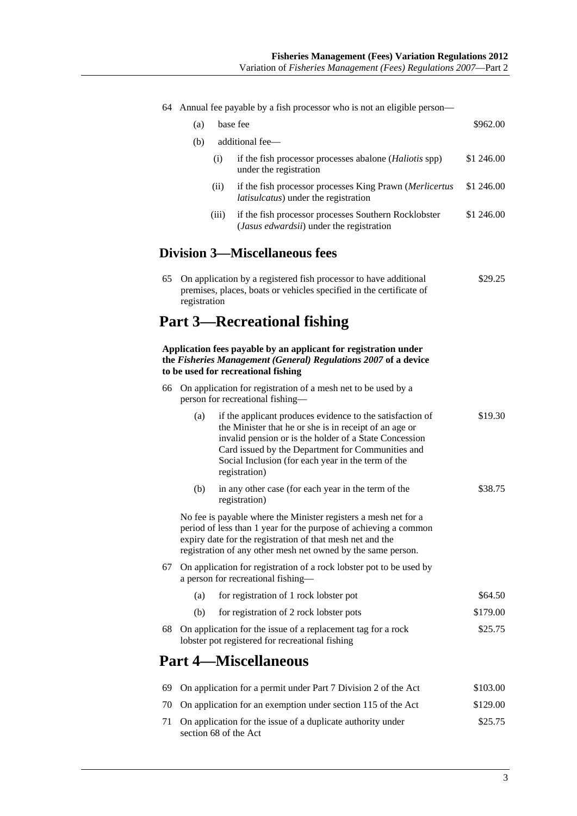|      | 64 Annual fee payable by a fish processor who is not an eligible person-                                                                                                                                                                                         |                                                                                                                                                                                                                                                                                                           |            |  |  |
|------|------------------------------------------------------------------------------------------------------------------------------------------------------------------------------------------------------------------------------------------------------------------|-----------------------------------------------------------------------------------------------------------------------------------------------------------------------------------------------------------------------------------------------------------------------------------------------------------|------------|--|--|
|      | (a)                                                                                                                                                                                                                                                              | base fee                                                                                                                                                                                                                                                                                                  | \$962.00   |  |  |
|      | (b)                                                                                                                                                                                                                                                              | additional fee-                                                                                                                                                                                                                                                                                           |            |  |  |
|      | (i)                                                                                                                                                                                                                                                              | if the fish processor processes abalone (Haliotis spp)<br>under the registration                                                                                                                                                                                                                          | \$1 246.00 |  |  |
|      | (ii)                                                                                                                                                                                                                                                             | if the fish processor processes King Prawn (Merlicertus<br>latisulcatus) under the registration                                                                                                                                                                                                           | \$1 246.00 |  |  |
|      | (iii)                                                                                                                                                                                                                                                            | if the fish processor processes Southern Rocklobster<br>(Jasus edwardsii) under the registration                                                                                                                                                                                                          | \$1 246.00 |  |  |
|      |                                                                                                                                                                                                                                                                  | <b>Division 3—Miscellaneous fees</b>                                                                                                                                                                                                                                                                      |            |  |  |
| 65   | registration                                                                                                                                                                                                                                                     | On application by a registered fish processor to have additional<br>premises, places, boats or vehicles specified in the certificate of                                                                                                                                                                   | \$29.25    |  |  |
|      |                                                                                                                                                                                                                                                                  | <b>Part 3—Recreational fishing</b>                                                                                                                                                                                                                                                                        |            |  |  |
|      |                                                                                                                                                                                                                                                                  | Application fees payable by an applicant for registration under<br>the Fisheries Management (General) Regulations 2007 of a device<br>to be used for recreational fishing                                                                                                                                 |            |  |  |
| 66   | On application for registration of a mesh net to be used by a<br>person for recreational fishing-                                                                                                                                                                |                                                                                                                                                                                                                                                                                                           |            |  |  |
|      | (a)                                                                                                                                                                                                                                                              | if the applicant produces evidence to the satisfaction of<br>the Minister that he or she is in receipt of an age or<br>invalid pension or is the holder of a State Concession<br>Card issued by the Department for Communities and<br>Social Inclusion (for each year in the term of the<br>registration) | \$19.30    |  |  |
|      | (b)                                                                                                                                                                                                                                                              | in any other case (for each year in the term of the<br>registration)                                                                                                                                                                                                                                      | \$38.75    |  |  |
|      | No fee is payable where the Minister registers a mesh net for a<br>period of less than 1 year for the purpose of achieving a common<br>expiry date for the registration of that mesh net and the<br>registration of any other mesh net owned by the same person. |                                                                                                                                                                                                                                                                                                           |            |  |  |
| 67 - |                                                                                                                                                                                                                                                                  | On application for registration of a rock lobster pot to be used by<br>a person for recreational fishing-                                                                                                                                                                                                 |            |  |  |
|      | (a)                                                                                                                                                                                                                                                              | for registration of 1 rock lobster pot                                                                                                                                                                                                                                                                    | \$64.50    |  |  |
|      | (b)                                                                                                                                                                                                                                                              | for registration of 2 rock lobster pots                                                                                                                                                                                                                                                                   | \$179.00   |  |  |
| 68   |                                                                                                                                                                                                                                                                  | On application for the issue of a replacement tag for a rock<br>lobster pot registered for recreational fishing                                                                                                                                                                                           | \$25.75    |  |  |
|      |                                                                                                                                                                                                                                                                  | <b>Part 4—Miscellaneous</b>                                                                                                                                                                                                                                                                               |            |  |  |
| 69   |                                                                                                                                                                                                                                                                  | On application for a permit under Part 7 Division 2 of the Act                                                                                                                                                                                                                                            | \$103.00   |  |  |
| 70   |                                                                                                                                                                                                                                                                  | On application for an exemption under section 115 of the Act                                                                                                                                                                                                                                              | \$129.00   |  |  |
| 71   | section 68 of the Act                                                                                                                                                                                                                                            | On application for the issue of a duplicate authority under                                                                                                                                                                                                                                               | \$25.75    |  |  |